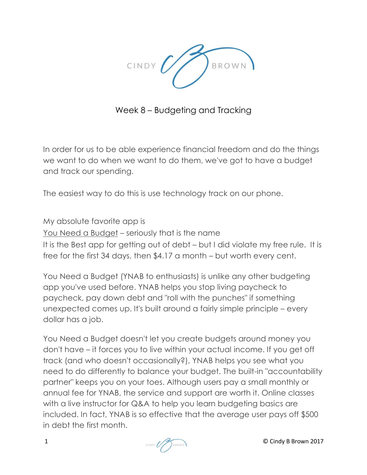

Week 8 – Budgeting and Tracking

In order for us to be able experience financial freedom and do the things we want to do when we want to do them, we've got to have a budget and track our spending.

The easiest way to do this is use technology track on our phone.

My absolute favorite app is You Need a Budget – seriously that is the name It is the Best app for getting out of debt – but I did violate my free rule. It is free for the first 34 days, then \$4.17 a month – but worth every cent.

[You Need a Budget](https://www.youneedabudget.com/) (YNAB to enthusiasts) is unlike any other budgeting app you've used before. YNAB helps you stop living paycheck to paycheck, pay down [debt](http://www.investopedia.com/terms/d/debt.asp) and "roll with the punches" if something unexpected comes up. It's built around a fairly simple principle – every dollar has a job.

You Need a Budget doesn't let you create budgets around money you don't have – it forces you to live within your actual [income.](http://www.investopedia.com/terms/i/income.asp) If you get off track (and who doesn't occasionally?), YNAB helps you see what you need to do differently to [balance your budget.](http://www.investopedia.com/terms/b/balanced-budget.asp) The built-in "accountability partner" keeps you on your toes. Although users pay a small monthly or annual fee for YNAB, the service and support are worth it. Online classes with a live instructor for Q&A to help you learn budgeting basics are included. In fact, YNAB is so effective that the average user pays off \$500 in debt the first month.

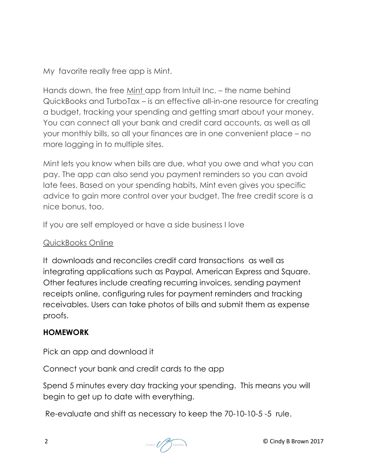My favorite really free app is Mint.

Hands down, the free [Mint app](https://www.mint.com/) from Intuit Inc. – the name behind QuickBooks and TurboTax – is an effective all-in-one resource for creating a budget, tracking your spending and getting smart about your money. You can connect all your bank and [credit card](http://www.investopedia.com/terms/c/creditcard.asp) accounts, as well as all your monthly bills, so all your finances are in one convenient place – no more logging in to multiple sites.

Mint lets you know when bills are due, what you owe and what you can pay. The app can also send you payment reminders so you can avoid late fees. Based on your spending habits, Mint even gives you specific advice to gain more control over your budget. The free [credit score](http://www.investopedia.com/terms/c/credit_score.asp) is a nice bonus, too.

If you are self employed or have a side business I love

## QuickBooks Online

It downloads and reconciles credit card transactions as well as integrating applications such as Paypal, American Express and Square. Other features include creating recurring invoices, sending payment receipts online, configuring rules for payment reminders and tracking receivables. Users can take photos of bills and submit them as expense proofs.

## **HOMEWORK**

Pick an app and download it

Connect your bank and credit cards to the app

Spend 5 minutes every day tracking your spending. This means you will begin to get up to date with everything.

Re-evaluate and shift as necessary to keep the 70-10-10-5 -5 rule.